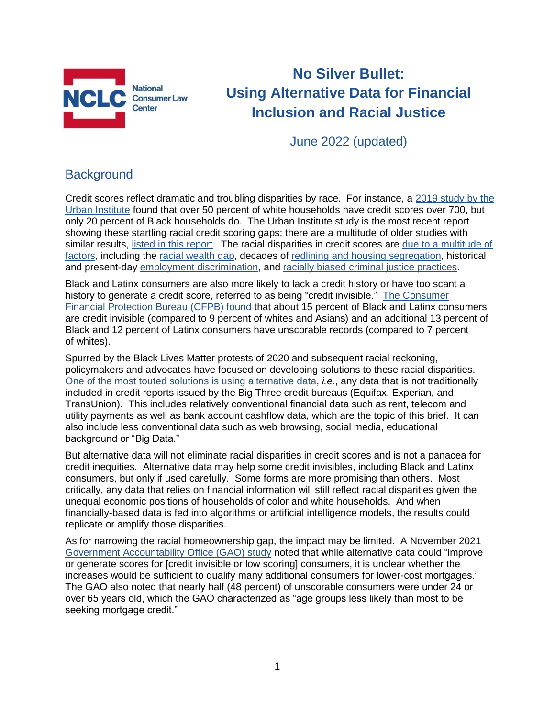

# **No Silver Bullet: Using Alternative Data for Financial Inclusion and Racial Justice**

June 2022 (updated)

## **Background**

Credit scores reflect dramatic and troubling disparities by race. For instance, a [2019 study by the](https://www.urban.org/research/publication/explaining-black-white-homeownership-gap-closer-look-disparities-across-local-markets)  [Urban Institute](https://www.urban.org/research/publication/explaining-black-white-homeownership-gap-closer-look-disparities-across-local-markets) found that over 50 percent of white households have credit scores over 700, but only 20 percent of Black households do. The Urban Institute study is the most recent report showing these startling racial credit scoring gaps; there are a multitude of older studies with similar results, [listed in this report.](http://bit.ly/Past-Imperfect) The racial disparities in credit scores are [due to a multitude of](https://medium.com/@cwu_84767/reparations-race-and-reputation-in-credit-rethinking-the-relationship-between-credit-scores-and-852f70149877)  [factors,](https://medium.com/@cwu_84767/reparations-race-and-reputation-in-credit-rethinking-the-relationship-between-credit-scores-and-852f70149877) including the [racial wealth gap,](https://www.federalreserve.gov/econres/notes/feds-notes/disparities-in-wealth-by-race-and-ethnicity-in-the-2019-survey-of-consumer-finances-20200928.htm) decades of [redlining and housing segregation,](https://www.epi.org/publication/the-color-of-law-a-forgotten-history-of-how-our-government-segregated-america/) historical and present-day [employment discrimination,](https://www.americanprogress.org/issues/economy/reports/2019/12/05/478150/african-americans-face-systematic-obstacles-getting-good-jobs/) and [racially biased criminal justice practices.](https://www.washingtonpost.com/graphics/2020/opinions/systemic-racism-police-evidence-criminal-justice-system/)

Black and Latinx consumers are also more likely to lack a credit history or have too scant a history to generate a credit score, referred to as being "credit invisible." [The Consumer](https://files.consumerfinance.gov/f/201505_cfpb_data-point-credit-invisibles.pdf)  [Financial Protection Bureau \(CFPB\) found](https://files.consumerfinance.gov/f/201505_cfpb_data-point-credit-invisibles.pdf) that about 15 percent of Black and Latinx consumers are credit invisible (compared to 9 percent of whites and Asians) and an additional 13 percent of Black and 12 percent of Latinx consumers have unscorable records (compared to 7 percent of whites).

Spurred by the Black Lives Matter protests of 2020 and subsequent racial reckoning, policymakers and advocates have focused on developing solutions to these racial disparities. [One of the most touted solutions is using alternative data,](https://www.urban.org/sites/default/files/publication/105282/utility-telecommunications-and-rental-data-in-underwriting-credit_1.pdf) *i.e.*, any data that is not traditionally included in credit reports issued by the Big Three credit bureaus (Equifax, Experian, and TransUnion). This includes relatively conventional financial data such as rent, telecom and utility payments as well as bank account cashflow data, which are the topic of this brief. It can also include less conventional data such as web browsing, social media, educational background or "Big Data."

But alternative data will not eliminate racial disparities in credit scores and is not a panacea for credit inequities. Alternative data may help some credit invisibles, including Black and Latinx consumers, but only if used carefully. Some forms are more promising than others. Most critically, any data that relies on financial information will still reflect racial disparities given the unequal economic positions of households of color and white households. And when financially-based data is fed into algorithms or artificial intelligence models, the results could replicate or amplify those disparities.

As for narrowing the racial homeownership gap, the impact may be limited. A November 2021 [Government Accountability Office \(GAO\) study](https://www.gao.gov/assets/gao-22-104380.pdf#page=18) noted that while alternative data could "improve or generate scores for [credit invisible or low scoring] consumers, it is unclear whether the increases would be sufficient to qualify many additional consumers for lower-cost mortgages." The GAO also noted that nearly half (48 percent) of unscorable consumers were under 24 or over 65 years old, which the GAO characterized as "age groups less likely than most to be seeking mortgage credit."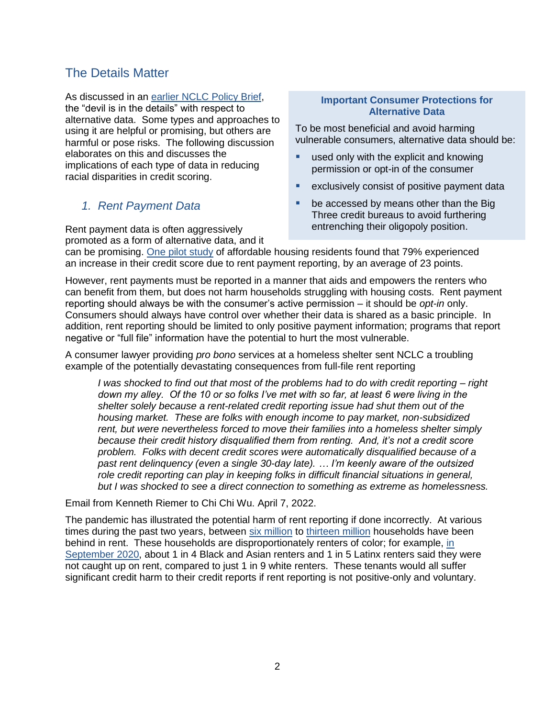## The Details Matter

As discussed in an [earlier NCLC Policy Brief,](https://www.nclc.org/issues/issue-brief-credit-invisibility-and-alternative-data.html) the "devil is in the details" with respect to alternative data. Some types and approaches to using it are helpful or promising, but others are harmful or pose risks. The following discussion elaborates on this and discusses the implications of each type of data in reducing racial disparities in credit scoring.

### *1. Rent Payment Data*

Rent payment data is often aggressively promoted as a form of alternative data, and it

#### **Important Consumer Protections for Alternative Data**

To be most beneficial and avoid harming vulnerable consumers, alternative data should be:

- used only with the explicit and knowing permission or opt-in of the consumer
- exclusively consist of positive payment data
- be accessed by means other than the Big Three credit bureaus to avoid furthering entrenching their oligopoly position.

can be promising. [One pilot study](https://www.creditbuildersalliance.org/wp-content/uploads/2019/06/CBA-Power-of-Rent-Reporting-Pilot-White-Paper.pdf) of affordable housing residents found that 79% experienced an increase in their credit score due to rent payment reporting, by an average of 23 points.

However, rent payments must be reported in a manner that aids and empowers the renters who can benefit from them, but does not harm households struggling with housing costs. Rent payment reporting should always be with the consumer's active permission – it should be *opt-in* only. Consumers should always have control over whether their data is shared as a basic principle. In addition, rent reporting should be limited to only positive payment information; programs that report negative or "full file" information have the potential to hurt the most vulnerable.

A consumer lawyer providing *pro bono* services at a homeless shelter sent NCLC a troubling example of the potentially devastating consequences from full-file rent reporting

*I was shocked to find out that most of the problems had to do with credit reporting – right down my alley. Of the 10 or so folks I've met with so far, at least 6 were living in the shelter solely because a rent-related credit reporting issue had shut them out of the housing market. These are folks with enough income to pay market, non-subsidized rent, but were nevertheless forced to move their families into a homeless shelter simply because their credit history disqualified them from renting. And, it's not a credit score problem. Folks with decent credit scores were automatically disqualified because of a past rent delinquency (even a single 30-day late). … I'm keenly aware of the outsized role credit reporting can play in keeping folks in difficult financial situations in general, but I was shocked to see a direct connection to something as extreme as homelessness.*

Email from Kenneth Riemer to Chi Chi Wu. April 7, 2022.

The pandemic has illustrated the potential harm of rent reporting if done incorrectly. At various times during the past two years, between [six million](https://nationalequityatlas.org/rent-debt-in-america) to [thirteen million](https://www.cbpp.org/research/poverty-and-inequality/new-data-millions-struggling-to-eat-and-pay-rent) households have been behind in rent. These households are disproportionately renters of color; for example, [in](https://www.cbpp.org/research/poverty-and-inequality/new-data-millions-struggling-to-eat-and-pay-rent)  [September 2020,](https://www.cbpp.org/research/poverty-and-inequality/new-data-millions-struggling-to-eat-and-pay-rent) about 1 in 4 Black and Asian renters and 1 in 5 Latinx renters said they were not caught up on rent, compared to just 1 in 9 white renters. These tenants would all suffer significant credit harm to their credit reports if rent reporting is not positive-only and voluntary.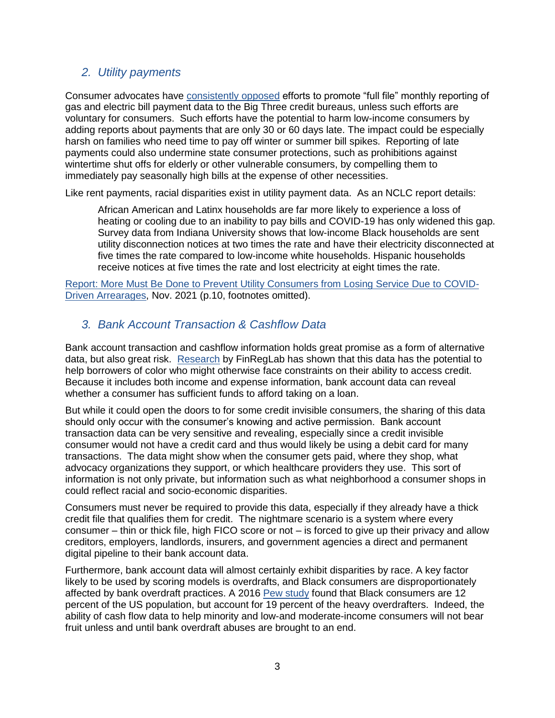### *2. Utility payments*

Consumer advocates have [consistently opposed](https://www.nclc.org/images/pdf/credit_reports/credit_reports_full_utility_dec2009.pdf) efforts to promote "full file" monthly reporting of gas and electric bill payment data to the Big Three credit bureaus, unless such efforts are voluntary for consumers. Such efforts have the potential to harm low-income consumers by adding reports about payments that are only 30 or 60 days late. The impact could be especially harsh on families who need time to pay off winter or summer bill spikes. Reporting of late payments could also undermine state consumer protections, such as prohibitions against wintertime shut offs for elderly or other vulnerable consumers, by compelling them to immediately pay seasonally high bills at the expense of other necessities.

Like rent payments, racial disparities exist in utility payment data. As an NCLC report details:

African American and Latinx households are far more likely to experience a loss of heating or cooling due to an inability to pay bills and COVID-19 has only widened this gap. Survey data from Indiana University shows that low-income Black households are sent utility disconnection notices at two times the rate and have their electricity disconnected at five times the rate compared to low-income white households. Hispanic households receive notices at five times the rate and lost electricity at eight times the rate.

[Report: More Must Be Done to Prevent Utility Consumers from Losing Service Due to COVID-](https://bit.ly/more-covid-util-arrearages#page-12)[Driven Arrearages,](https://bit.ly/more-covid-util-arrearages#page-12) Nov. 2021 (p.10, footnotes omitted).

### *3. Bank Account Transaction & Cashflow Data*

Bank account transaction and cashflow information holds great promise as a form of alternative data, but also great risk. [Research](https://finreglab.org/wp-content/uploads/2019/07/FRL_Research-Report_Final.pdf) by FinRegLab has shown that this data has the potential to help borrowers of color who might otherwise face constraints on their ability to access credit. Because it includes both income and expense information, bank account data can reveal whether a consumer has sufficient funds to afford taking on a loan.

But while it could open the doors to for some credit invisible consumers, the sharing of this data should only occur with the consumer's knowing and active permission. Bank account transaction data can be very sensitive and revealing, especially since a credit invisible consumer would not have a credit card and thus would likely be using a debit card for many transactions. The data might show when the consumer gets paid, where they shop, what advocacy organizations they support, or which healthcare providers they use. This sort of information is not only private, but information such as what neighborhood a consumer shops in could reflect racial and socio-economic disparities.

Consumers must never be required to provide this data, especially if they already have a thick credit file that qualifies them for credit. The nightmare scenario is a system where every consumer – thin or thick file, high FICO score or not – is forced to give up their privacy and allow creditors, employers, landlords, insurers, and government agencies a direct and permanent digital pipeline to their bank account data.

Furthermore, bank account data will almost certainly exhibit disparities by race. A key factor likely to be used by scoring models is overdrafts, and Black consumers are disproportionately affected by bank overdraft practices. A 2016 [Pew study](http://www.pewtrusts.org/~/media/assets/2016/04/heavyoverdrafters.pdf?la=en) found that Black consumers are 12 percent of the US population, but account for 19 percent of the heavy overdrafters. Indeed, the ability of cash flow data to help minority and low-and moderate-income consumers will not bear fruit unless and until bank overdraft abuses are brought to an end.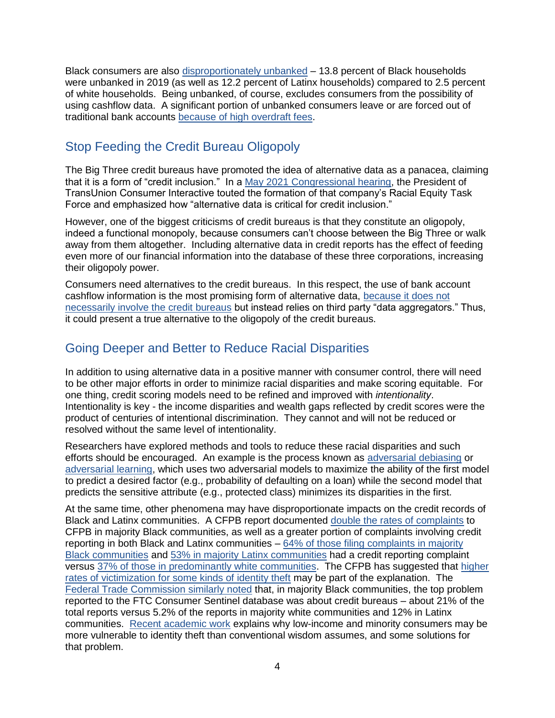Black consumers are also [disproportionately unbanked](https://www.fdic.gov/analysis/household-survey/2019report.pdf) – 13.8 percent of Black households were unbanked in 2019 (as well as 12.2 percent of Latinx households) compared to 2.5 percent of white households. Being unbanked, of course, excludes consumers from the possibility of using cashflow data. A significant portion of unbanked consumers leave or are forced out of traditional bank accounts [because of high overdraft fees.](http://www.nclc.org/images/pdf/pr-reports/Account-Screening-CRA-Agencies-BankingAccess101915.pdf)

# Stop Feeding the Credit Bureau Oligopoly

The Big Three credit bureaus have promoted the idea of alternative data as a panacea, claiming that it is a form of "credit inclusion." In a [May 2021 Congressional hearing,](https://financialservices.house.gov/uploadedfiles/hhrg-117-ba09-wstate-danaherj-20210526.pdf) the President of TransUnion Consumer Interactive touted the formation of that company's Racial Equity Task Force and emphasized how "alternative data is critical for credit inclusion."

However, one of the biggest criticisms of credit bureaus is that they constitute an oligopoly, indeed a functional monopoly, because consumers can't choose between the Big Three or walk away from them altogether. Including alternative data in credit reports has the effect of feeding even more of our financial information into the database of these three corporations, increasing their oligopoly power.

Consumers need alternatives to the credit bureaus. In this respect, the use of bank account cashflow information is the most promising form of alternative data, [because it does not](https://www.nclc.org/images/pdf/credit_reports/Personal_Finance_Data_testimony.pdf#page=7)  [necessarily involve the credit bureaus](https://www.nclc.org/images/pdf/credit_reports/Personal_Finance_Data_testimony.pdf#page=7) but instead relies on third party "data aggregators." Thus, it could present a true alternative to the oligopoly of the credit bureaus.

# Going Deeper and Better to Reduce Racial Disparities

In addition to using alternative data in a positive manner with consumer control, there will need to be other major efforts in order to minimize racial disparities and make scoring equitable. For one thing, credit scoring models need to be refined and improved with *intentionality*. Intentionality is key - the income disparities and wealth gaps reflected by credit scores were the product of centuries of intentional discrimination. They cannot and will not be reduced or resolved without the same level of intentionality.

Researchers have explored methods and tools to reduce these racial disparities and such efforts should be encouraged. An example is the process known as [adversarial debiasing](https://www.linkedin.com/pulse/theres-fix-problem-biased-algorithms-lending-kareem-saleh/) or [adversarial learning,](https://arxiv.org/pdf/1801.07593.pdf) which uses two adversarial models to maximize the ability of the first model to predict a desired factor (e.g., probability of defaulting on a loan) while the second model that predicts the sensitive attribute (e.g., protected class) minimizes its disparities in the first.

At the same time, other phenomena may have disproportionate impacts on the credit records of Black and Latinx communities. A CFPB report documented [double the rates of complaints](https://files.consumerfinance.gov/f/documents/cfpb_consumer-complaints-throughout-credit-life-cycle_report_2021-09.pdf#page=17) to CFPB in majority Black communities, as well as a greater portion of complaints involving credit reporting in both Black and Latinx communities – [64% of those filing complaints in majority](https://files.consumerfinance.gov/f/documents/cfpb_consumer-complaints-throughout-credit-life-cycle_report_2021-09.pdf#page=25)  [Black communities](https://files.consumerfinance.gov/f/documents/cfpb_consumer-complaints-throughout-credit-life-cycle_report_2021-09.pdf#page=25) and [53% in majority Latinx communities](https://files.consumerfinance.gov/f/documents/cfpb_consumer-complaints-throughout-credit-life-cycle_report_2021-09.pdf#page=28) had a credit reporting complaint versus [37% of those in predominantly white communities.](https://files.consumerfinance.gov/f/documents/cfpb_consumer-complaints-throughout-credit-life-cycle_report_2021-09.pdf#page=24) The CFPB has suggested that [higher](https://files.consumerfinance.gov/f/documents/cfpb_consumer-complaints-throughout-credit-life-cycle_report_2021-09.pdf#page=28)  [rates of victimization for some kinds of identity theft](https://files.consumerfinance.gov/f/documents/cfpb_consumer-complaints-throughout-credit-life-cycle_report_2021-09.pdf#page=28) may be part of the explanation. The [Federal Trade Commission similarly noted](https://www.ftc.gov/system/files/documents/reports/serving-communities-color-staff-report-federal-trade-commissions-efforts-address-fraud-consumer/ftc-communities-color-report_oct_2021-508-v2.pdf#page=49) that, in majority Black communities, the top problem reported to the FTC Consumer Sentinel database was about credit bureaus – about 21% of the total reports versus 5.2% of the reports in majority white communities and 12% in Latinx communities. [Recent academic work](https://minnesotalawreview.org/article/stealing-identity-from-the-poor/) explains why low-income and minority consumers may be more vulnerable to identity theft than conventional wisdom assumes, and some solutions for that problem.